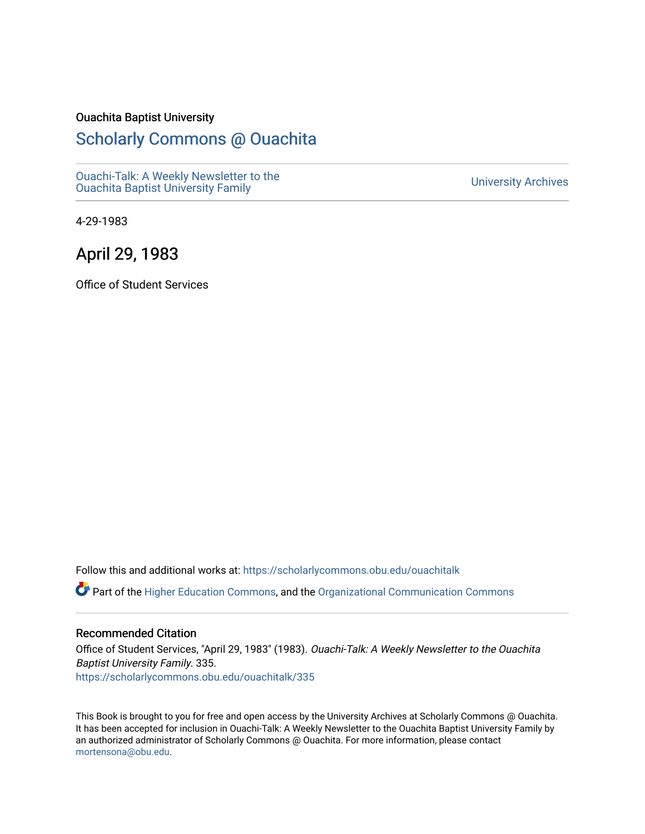#### Ouachita Baptist University

#### [Scholarly Commons @ Ouachita](https://scholarlycommons.obu.edu/)

[Ouachi-Talk: A Weekly Newsletter to the](https://scholarlycommons.obu.edu/ouachitalk)  Ouachi-Taik. A weekly Newsletter to the community of the University Archives<br>[Ouachita Baptist University Family](https://scholarlycommons.obu.edu/ouachitalk)

4-29-1983

#### April 29, 1983

Office of Student Services

Follow this and additional works at: [https://scholarlycommons.obu.edu/ouachitalk](https://scholarlycommons.obu.edu/ouachitalk?utm_source=scholarlycommons.obu.edu%2Fouachitalk%2F335&utm_medium=PDF&utm_campaign=PDFCoverPages) 

Part of the [Higher Education Commons,](http://network.bepress.com/hgg/discipline/1245?utm_source=scholarlycommons.obu.edu%2Fouachitalk%2F335&utm_medium=PDF&utm_campaign=PDFCoverPages) and the [Organizational Communication Commons](http://network.bepress.com/hgg/discipline/335?utm_source=scholarlycommons.obu.edu%2Fouachitalk%2F335&utm_medium=PDF&utm_campaign=PDFCoverPages)

#### Recommended Citation

Office of Student Services, "April 29, 1983" (1983). Ouachi-Talk: A Weekly Newsletter to the Ouachita Baptist University Family. 335. [https://scholarlycommons.obu.edu/ouachitalk/335](https://scholarlycommons.obu.edu/ouachitalk/335?utm_source=scholarlycommons.obu.edu%2Fouachitalk%2F335&utm_medium=PDF&utm_campaign=PDFCoverPages) 

This Book is brought to you for free and open access by the University Archives at Scholarly Commons @ Ouachita. It has been accepted for inclusion in Ouachi-Talk: A Weekly Newsletter to the Ouachita Baptist University Family by an authorized administrator of Scholarly Commons @ Ouachita. For more information, please contact [mortensona@obu.edu.](mailto:mortensona@obu.edu)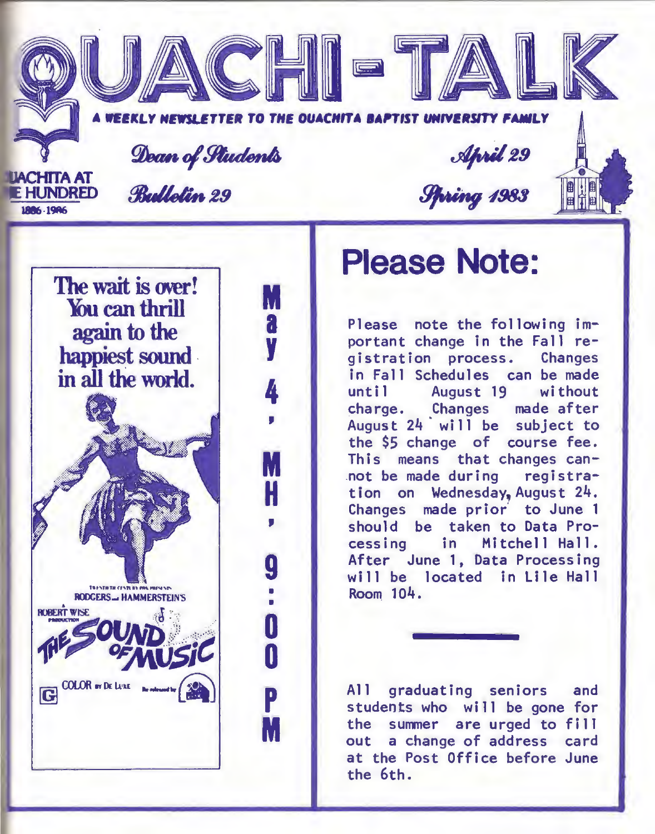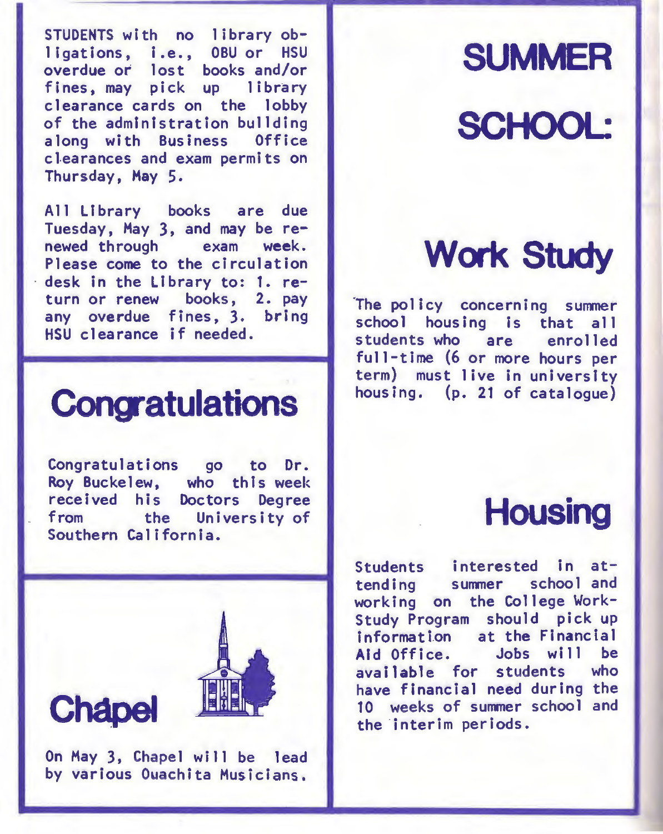STUDENTS with no library ob-<br>ligations, i.e., OBU or HSU ligations, i.e., overdue or lost books and/or fines, may pick up library clearance cards on the lobby of the administration bullding along with Business Office clearances and exam permits on Thursday, May 5.

All Library books are due Tuesday, May 3, and may be re-<br>newed through exam week. newed through Please come to the circulation desk in the Library to: 1. return or renew books, 2. pay any overdue fines, 3. bring HSU clearance if needed.

### **Congatulations**

Congratulations go to Dr. Roy Buckelew, who this week received his Doctors Degree<br>from the University of the University of Southern California.



On May 3, Chapel will be lead by various Ouachita Musicians.

# **SUMMER**  SCHOOL:

# **Work Study**

The policy concerning summer school housing is that all<br>students who are enrolled students who are full-time (6 or more hours per term) must live in university housing. (p. 21 of catalogue)

#### **Housing**

Students interested in at-<br>tending summer school and working on the College Work-Study Program should pick up information at the Financial<br>Aid Office. Jobs will be Jobs will be available for students who have financial need during the 10 weeks of summer school and the ·interim periods.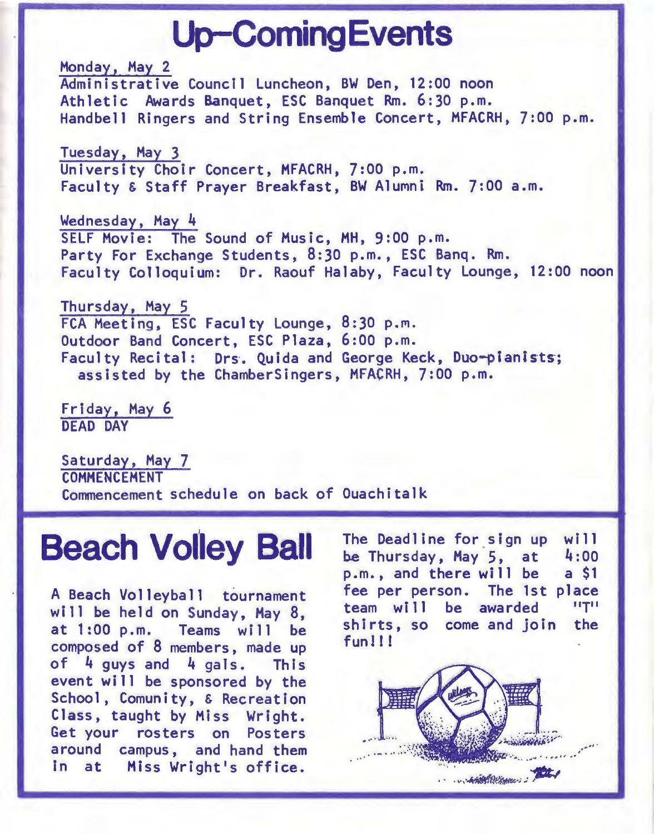### **Up-Coming Events**

Monday, Hay 2 Administrative Council Luncheon, BW Den, 12:00 noon Athletic Awards Banquet, ESC Banquet Rm. 6:30 p.m. Handbell Ringers and String Ensemble Concert, MFACRH, 7:00 p.m.

Tuesday, Hay 3 University Choir Concert, HFACRH, 7:00 p.m. Faculty & Staff Prayer Breakfast, BW Alumni Rm. 7:00 a.m.

Wednesday, May 4 SELF Movie: The Sound of Music, MH, 9:00 p.m. Party For Exchange Students, 8:30 p.m., ESC Bang. Rm. Faculty Colloquium: Dr. Raouf Halaby, Faculty Lounge, 12:00 noon

Thursday, May 5 FCA Meeting, ESC Faculty Lounge, 8:30 p.m. Outdoor Band Concert, ESC Plaza, 6:00 p.m. Faculty Recital: Drs. Quida and George Keck, Duo-pianists; assisted by the ChamberSingers, MFACRH, 7:00 p.m.

Friday, May 6 DEAD DAY

Saturday, Hay 7 **COMMENCEMENT** Commencement schedule on back of Ouachitalk

#### **Beach Volley Ball**

A Beach Volleyball tournament will be held on Sunday, Hay 8, at 1:00 p.m. Teams will be composed of 8 members, made up of 4 guys and 4 gals. This event will be sponsored by the School, Comunity, & Recreation Class, taught by Miss Wright. Get your rosters on Posters around campus, and hand them in at Hiss Wright's office.

The Deadline for sign up be Thursday, Hay 5, at p.m., and there will be fee per person. The 1st place team will be awarded shirts, so come and join fun 1! ! wi 11 4:00 a \$1 ''T'' the